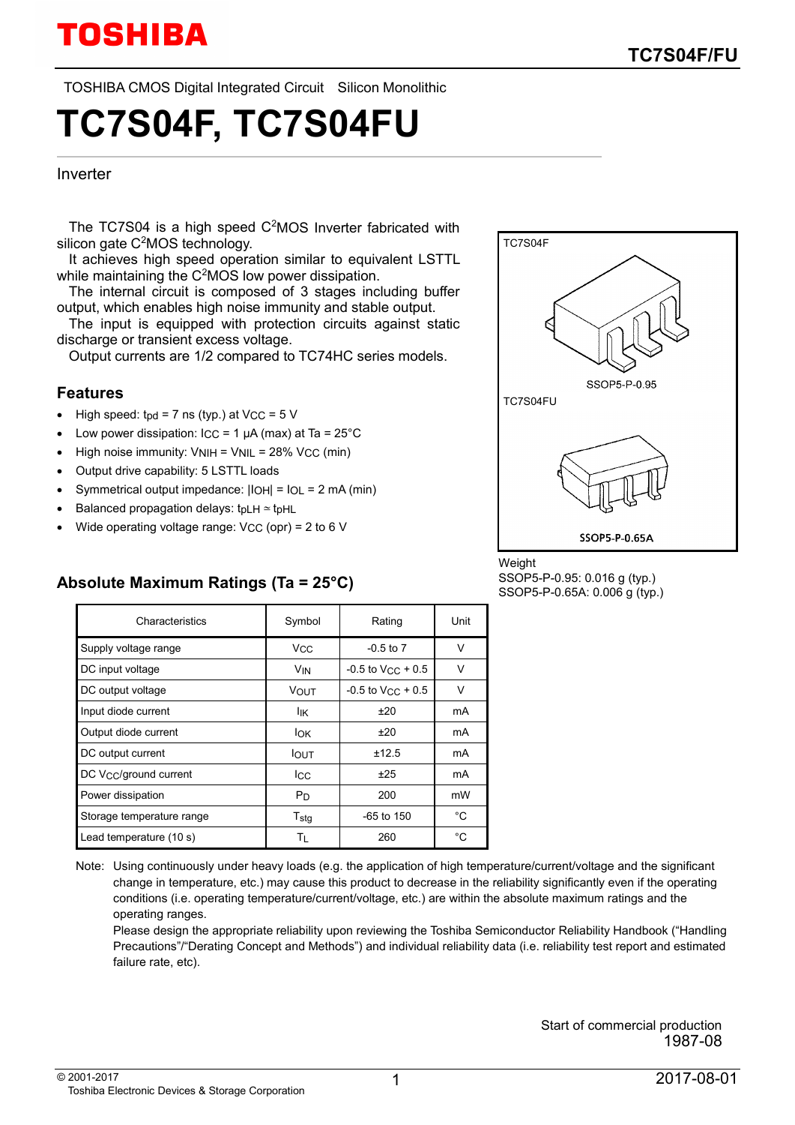TOSHIBA CMOS Digital Integrated Circuit Silicon Monolithic

# **TC7S04F, TC7S04FU**

#### Inverter

The  $TC7S04$  is a high speed  $C<sup>2</sup>MOS$  Inverter fabricated with silicon gate C<sup>2</sup>MOS technology.

It achieves high speed operation similar to equivalent LSTTL while maintaining the C<sup>2</sup>MOS low power dissipation.

The internal circuit is composed of 3 stages including buffer output, which enables high noise immunity and stable output.

The input is equipped with protection circuits against static discharge or transient excess voltage.

Output currents are 1/2 compared to TC74HC series models.

#### **Features**

- High speed:  $\text{tpd} = 7 \text{ ns (typ.)}$  at VCC =  $5 \text{ V}$
- Low power dissipation:  $\text{ICC} = 1 \mu\text{A}$  (max) at Ta = 25°C
- High noise immunity:  $VNIH = VNIL = 28\%$  V<sub>CC</sub> (min)
- Output drive capability: 5 LSTTL loads
- Symmetrical output impedance: |IOH| = IOL = 2 mA (min)
- Balanced propagation delays: tpLH ∼− tpHL
- Wide operating voltage range: VCC (opr) = 2 to 6 V

**Absolute Maximum Ratings (Ta = 25°C)**



#### Weight SSOP5-P-0.95: 0.016 g (typ.) SSOP5-P-0.65A: 0.006 g (typ.)

| Characteristics           | Symbol                | Rating                          | Unit |
|---------------------------|-----------------------|---------------------------------|------|
| Supply voltage range      | <b>V<sub>CC</sub></b> | $-0.5$ to $7$                   | V    |
| DC input voltage          | <b>V<sub>IN</sub></b> | $-0.5$ to V <sub>CC</sub> + 0.5 | ν    |
| DC output voltage         | <b>VOUT</b>           | $-0.5$ to V <sub>CC</sub> + 0.5 | V    |
| Input diode current       | lικ                   | ±20                             | mA   |
| Output diode current      | lok                   | ±20                             | mA   |
| DC output current         | <b>IOUT</b>           | ±12.5                           | mA   |
| DC Vcc/ground current     | Icc                   | ±25                             | mA   |
| Power dissipation         | P <sub>D</sub>        | 200                             | mW   |
| Storage temperature range | $T_{\text{stg}}$      | $-65$ to 150                    | °C   |
| Lead temperature (10 s)   | Τı                    | 260                             | °C   |

Note: Using continuously under heavy loads (e.g. the application of high temperature/current/voltage and the significant change in temperature, etc.) may cause this product to decrease in the reliability significantly even if the operating conditions (i.e. operating temperature/current/voltage, etc.) are within the absolute maximum ratings and the operating ranges.

Please design the appropriate reliability upon reviewing the Toshiba Semiconductor Reliability Handbook ("Handling Precautions"/"Derating Concept and Methods") and individual reliability data (i.e. reliability test report and estimated failure rate, etc).

> Start of commercial production 1987-08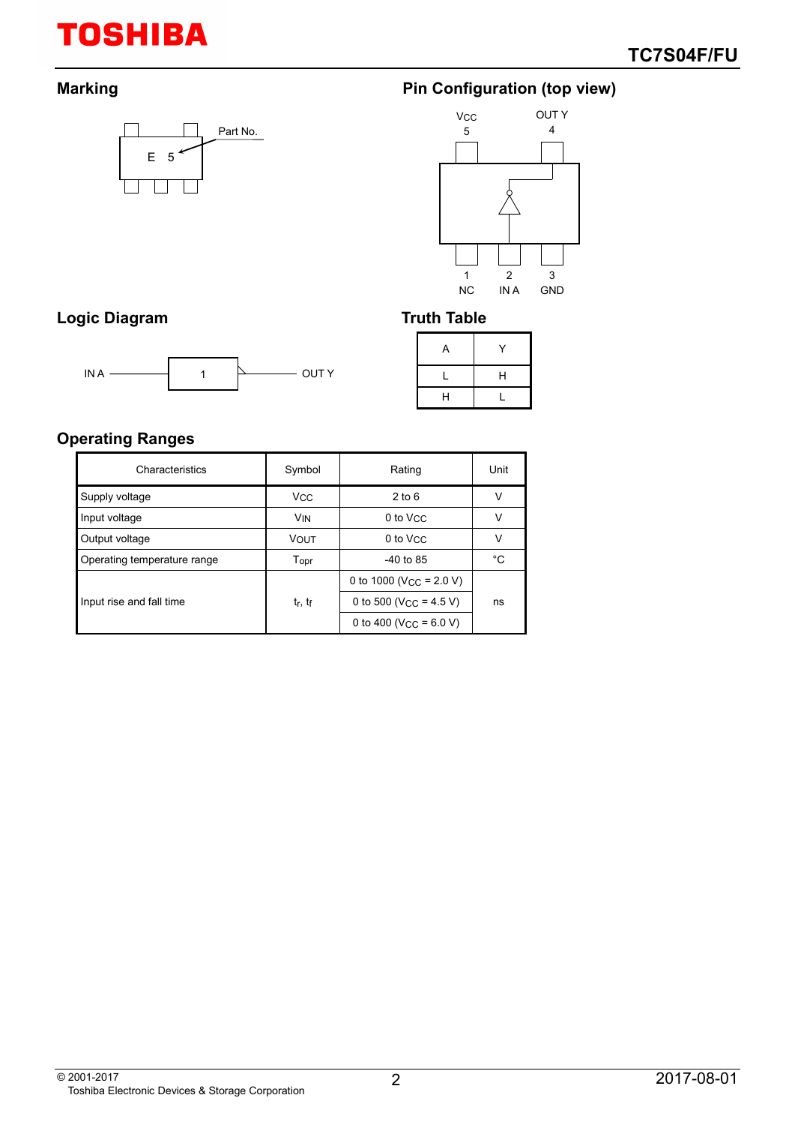# **TOSHIBA**



# **Marking Marking Configuration (top view)**



# Logic Diagram **Truth Table**



| Υ  |
|----|
| H  |
| r. |
|    |

## **Operating Ranges**

| Characteristics             | Symbol                          | Rating                                | Unit |
|-----------------------------|---------------------------------|---------------------------------------|------|
| Supply voltage              | <b>V<sub>CC</sub></b>           | $2$ to 6                              | v    |
| Input voltage               | <b>V<sub>IN</sub></b>           | 0 to V <sub>CC</sub>                  | v    |
| Output voltage              | <b>VOUT</b>                     | 0 to V <sub>CC</sub>                  | v    |
| Operating temperature range | Topr                            | $-40$ to 85                           | °C   |
|                             |                                 | 0 to 1000 (V <sub>CC</sub> = $2.0$ V) |      |
| Input rise and fall time    | t <sub>r</sub> , t <sub>f</sub> | 0 to 500 (V <sub>CC</sub> = 4.5 V)    | ns   |
|                             |                                 | 0 to 400 (V <sub>CC</sub> = $6.0$ V)  |      |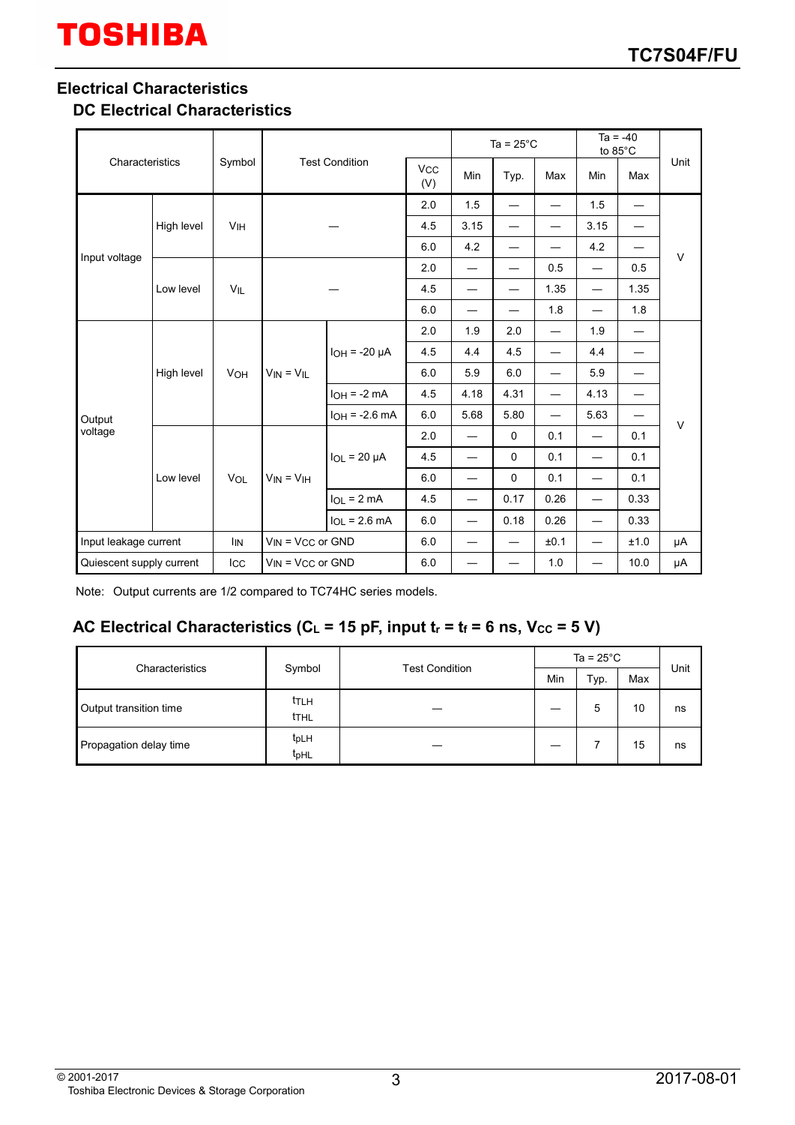### **Electrical Characteristics**

#### **DC Electrical Characteristics**

| Characteristics<br>Symbol                                     |            |            |                            |                    |     | Ta = $25^{\circ}$ C      |                          | $Ta = -40$<br>to 85°C    |                                  |                          |        |
|---------------------------------------------------------------|------------|------------|----------------------------|--------------------|-----|--------------------------|--------------------------|--------------------------|----------------------------------|--------------------------|--------|
|                                                               |            |            | <b>Test Condition</b>      |                    | Min | Typ.                     | Max                      | Min                      | Max                              | Unit                     |        |
|                                                               |            |            |                            |                    | 2.0 | 1.5                      | —                        | $\overline{\phantom{0}}$ | 1.5                              | $\overline{\phantom{0}}$ |        |
|                                                               | High level | VIH        |                            |                    | 4.5 | 3.15                     | —                        | —                        | 3.15                             | —                        |        |
| Input voltage                                                 |            |            |                            |                    | 6.0 | 4.2                      | —                        |                          | 4.2                              | —                        | $\vee$ |
|                                                               |            | $V_{IL}$   |                            |                    | 2.0 | $\overline{\phantom{0}}$ |                          | 0.5                      | $\overbrace{\phantom{12321111}}$ | 0.5                      |        |
|                                                               | Low level  |            |                            |                    | 4.5 | —                        | —                        | 1.35                     | $\overline{\phantom{0}}$         | 1.35                     |        |
|                                                               |            |            |                            |                    | 6.0 | —                        | —                        | 1.8                      | $\overline{\phantom{0}}$         | 1.8                      |        |
| Output<br>voltage                                             | High level | <b>VOH</b> | $V_{IN} = V_{IL}$          | $IOH = -20 \mu A$  | 2.0 | 1.9                      | 2.0                      | $\overline{\phantom{0}}$ | 1.9                              | $\overline{\phantom{0}}$ | $\vee$ |
|                                                               |            |            |                            |                    | 4.5 | 4.4                      | 4.5                      | $\overline{\phantom{0}}$ | 4.4                              | —                        |        |
|                                                               |            |            |                            |                    | 6.0 | 5.9                      | 6.0                      | $\overline{\phantom{0}}$ | 5.9                              |                          |        |
|                                                               |            |            |                            | $IOH = -2 mA$      | 4.5 | 4.18                     | 4.31                     | $\overline{\phantom{0}}$ | 4.13                             | $\overline{\phantom{0}}$ |        |
|                                                               |            |            |                            | $I_{OH} = -2.6$ mA | 6.0 | 5.68                     | 5.80                     | —                        | 5.63                             | —                        |        |
|                                                               | Low level  |            | $V_{IN} = V_{IH}$          | $IOL = 20 \mu A$   | 2.0 | $\overline{\phantom{0}}$ | $\mathbf 0$              | 0.1                      | $\overline{\phantom{0}}$         | 0.1                      |        |
|                                                               |            |            |                            |                    | 4.5 | $\overline{\phantom{0}}$ | 0                        | 0.1                      | —                                | 0.1                      |        |
|                                                               |            | VOL        |                            |                    | 6.0 | $\overline{\phantom{0}}$ | 0                        | 0.1                      | —                                | 0.1                      |        |
|                                                               |            |            |                            | $IOL = 2 mA$       | 4.5 | $\overline{\phantom{0}}$ | 0.17                     | 0.26                     | $\overbrace{\phantom{12321111}}$ | 0.33                     |        |
|                                                               |            |            |                            | $IOL = 2.6 mA$     | 6.0 | $\overline{\phantom{0}}$ | 0.18                     | 0.26                     |                                  | 0.33                     |        |
| Input leakage current                                         |            | <b>IIN</b> | $V_{IN} = V_{CC}$ or $GND$ |                    | 6.0 | $\overline{\phantom{0}}$ | $\overline{\phantom{m}}$ | ±0.1                     | $\overbrace{\phantom{12321111}}$ | ±1.0                     | μA     |
| Quiescent supply current<br>$V_{IN}$ = $V_{CC}$ or GND<br>Icc |            | 6.0        |                            |                    | 1.0 | $\overline{\phantom{0}}$ | 10.0                     | μA                       |                                  |                          |        |

Note: Output currents are 1/2 compared to TC74HC series models.

#### AC Electrical Characteristics ( $C_L$  = 15 pF, input  $t_r$  =  $t_f$  = 6 ns,  $V_{CC}$  = 5 V)

| Characteristics        |                                      |                       | Ta = $25^{\circ}$ C |      |     |      |
|------------------------|--------------------------------------|-----------------------|---------------------|------|-----|------|
|                        | Symbol                               | <b>Test Condition</b> | Min                 | Typ. | Max | Unit |
| Output transition time | ttlh<br><b>THL</b>                   |                       |                     | 5    | 10  | ns   |
| Propagation delay time | t <sub>pLH</sub><br>t <sub>pHL</sub> |                       |                     |      | 15  | ns   |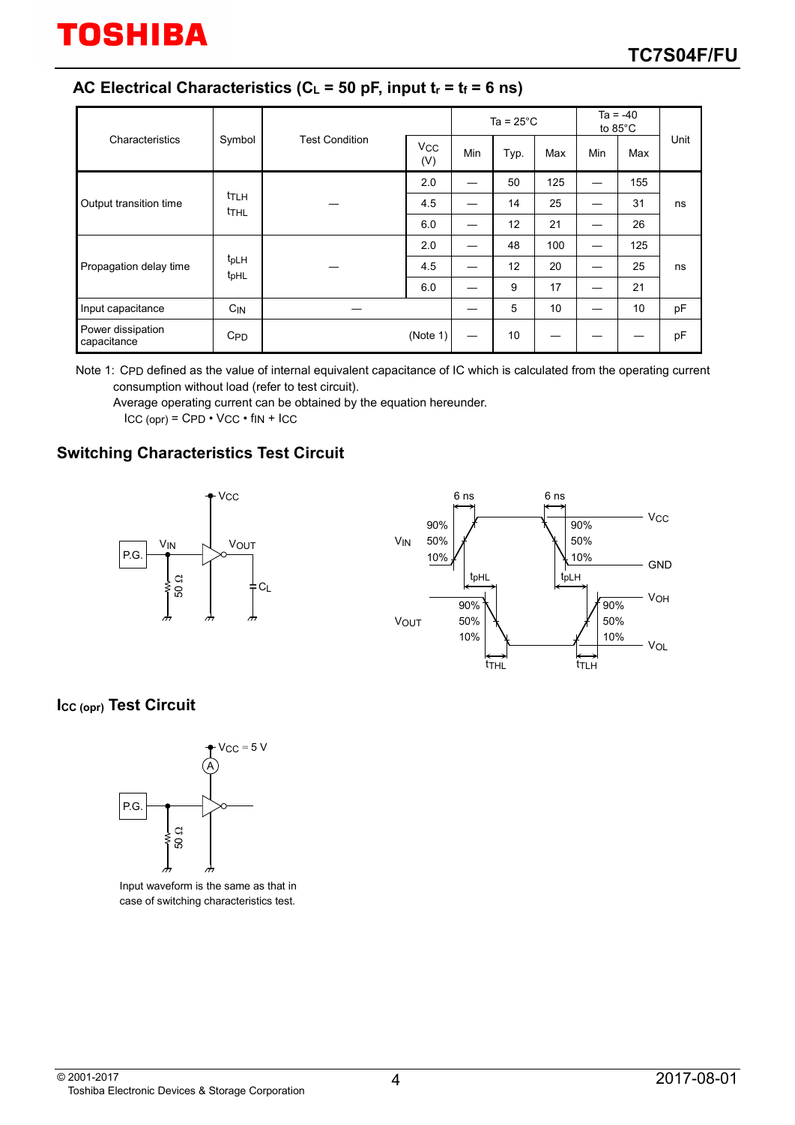### AC Electrical Characteristics ( $C_L$  = 50 pF, input  $t_r$  =  $t_f$  = 6 ns)

|                                  |                                      |                       |                              | Ta = $25^{\circ}$ C |      |     | $Ta = -40$<br>to 85°C |     |      |
|----------------------------------|--------------------------------------|-----------------------|------------------------------|---------------------|------|-----|-----------------------|-----|------|
| Characteristics                  | Symbol                               | <b>Test Condition</b> | <b>V<sub>CC</sub></b><br>(V) | Min                 | Typ. | Max | Min                   | Max | Unit |
| Output transition time           | ttlh<br><b>THL</b>                   |                       | 2.0                          |                     | 50   | 125 |                       | 155 | ns   |
|                                  |                                      |                       | 4.5                          |                     | 14   | 25  |                       | 31  |      |
|                                  |                                      |                       | 6.0                          |                     | 12   | 21  |                       | 26  |      |
| Propagation delay time           | t <sub>pLH</sub><br>t <sub>pHL</sub> |                       | 2.0                          |                     | 48   | 100 |                       | 125 | ns   |
|                                  |                                      |                       | 4.5                          |                     | 12   | 20  |                       | 25  |      |
|                                  |                                      |                       | 6.0                          |                     | 9    | 17  |                       | 21  |      |
| Input capacitance                | $C_{IN}$                             |                       |                              |                     | 5    | 10  |                       | 10  | pF   |
| Power dissipation<br>capacitance | C <sub>PD</sub>                      |                       | (Note 1)                     |                     | 10   |     |                       |     | pF   |

Note 1: CPD defined as the value of internal equivalent capacitance of IC which is calculated from the operating current consumption without load (refer to test circuit).

Average operating current can be obtained by the equation hereunder.  $ICC (opr) = CPD \cdot VCC \cdot fin + ICC$ 

# **Switching Characteristics Test Circuit**





#### **ICC (opr) Test Circuit**



Input waveform is the same as that in case of switching characteristics test.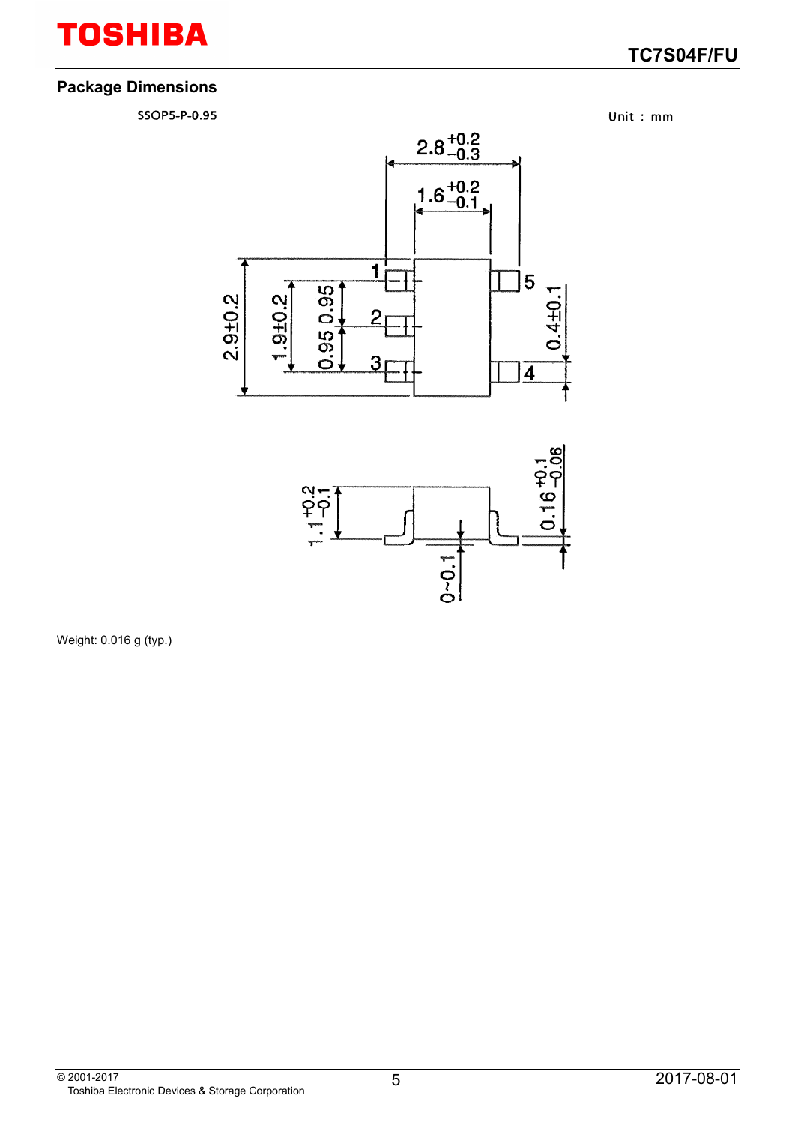# **TOSHIBA**

## **TC7S04F/FU**

#### **Package Dimensions**

SSOP5-P-0.95

Unit: mm





Weight: 0.016 g (typ.)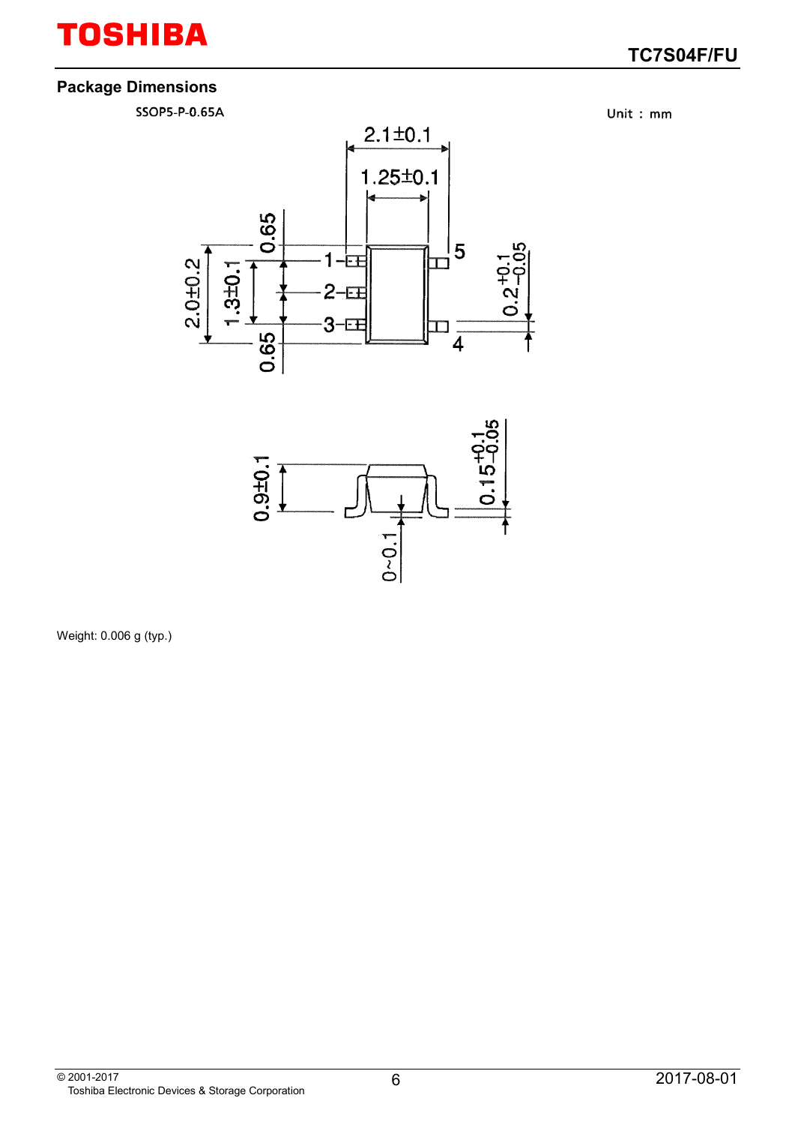# **TOSHIBA**

## **TC7S04F/FU**

#### **Package Dimensions**

SSOP5-P-0.65A

Unit: mm





Weight: 0.006 g (typ.)